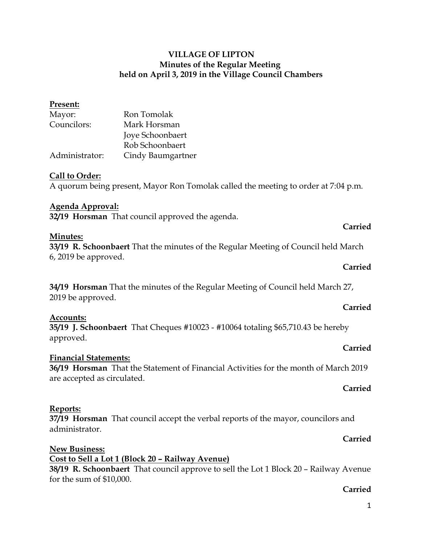### **VILLAGE OF LIPTON Minutes of the Regular Meeting held on April 3, 2019 in the Village Council Chambers**

| Present:                                                                                                     |                                                                                      |         |  |
|--------------------------------------------------------------------------------------------------------------|--------------------------------------------------------------------------------------|---------|--|
| Mayor:                                                                                                       | Ron Tomolak                                                                          |         |  |
| Councilors:                                                                                                  | Mark Horsman                                                                         |         |  |
|                                                                                                              | Joye Schoonbaert                                                                     |         |  |
|                                                                                                              | Rob Schoonbaert                                                                      |         |  |
| Administrator:                                                                                               | Cindy Baumgartner                                                                    |         |  |
| Call to Order:                                                                                               | A quorum being present, Mayor Ron Tomolak called the meeting to order at 7:04 p.m.   |         |  |
| <b>Agenda Approval:</b>                                                                                      |                                                                                      |         |  |
|                                                                                                              | 32/19 Horsman That council approved the agenda.                                      |         |  |
|                                                                                                              |                                                                                      | Carried |  |
| Minutes:                                                                                                     |                                                                                      |         |  |
| 33/19 R. Schoonbaert That the minutes of the Regular Meeting of Council held March<br>$6, 2019$ be approved. |                                                                                      |         |  |
|                                                                                                              |                                                                                      | Carried |  |
| 34/19 Horsman That the minutes of the Regular Meeting of Council held March 27,                              |                                                                                      |         |  |
| 2019 be approved.                                                                                            |                                                                                      |         |  |
|                                                                                                              |                                                                                      | Carried |  |
| Accounts:<br>approved.                                                                                       | 35/19 J. Schoonbaert That Cheques #10023 - #10064 totaling \$65,710.43 be hereby     |         |  |
|                                                                                                              |                                                                                      | Carried |  |
| <b>Financial Statements:</b>                                                                                 |                                                                                      |         |  |
| are accepted as circulated.                                                                                  | 36/19 Horsman That the Statement of Financial Activities for the month of March 2019 |         |  |
|                                                                                                              |                                                                                      | Carried |  |

# **Reports:**

**37/19 Horsman** That council accept the verbal reports of the mayor, councilors and administrator.

#### **Carried**

#### **New Business: Cost to Sell a Lot 1 (Block 20 – Railway Avenue) 38/19 R. Schoonbaert** That council approve to sell the Lot 1 Block 20 – Railway Avenue for the sum of \$10,000.

#### **Carried**